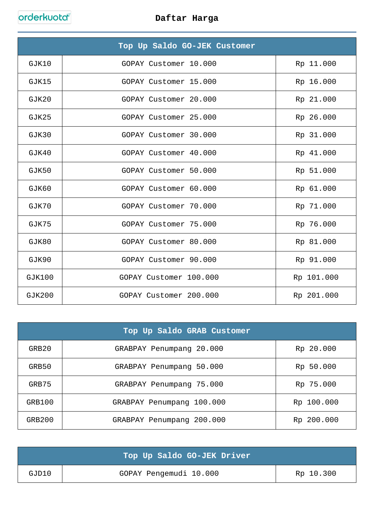|               | Top Up Saldo GO-JEK Customer |            |
|---------------|------------------------------|------------|
| GJK10         | GOPAY Customer 10.000        | Rp 11.000  |
| GJK15         | GOPAY Customer 15.000        | Rp 16.000  |
| GJK20         | GOPAY Customer 20.000        | Rp 21.000  |
| GJK25         | GOPAY Customer 25.000        | Rp 26.000  |
| GJK30         | GOPAY Customer 30.000        | Rp 31.000  |
| GJK40         | GOPAY Customer 40.000        | Rp 41.000  |
| GJK50         | GOPAY Customer 50.000        | Rp 51.000  |
| GJK60         | GOPAY Customer 60.000        | Rp 61.000  |
| GJK70         | GOPAY Customer 70.000        | Rp 71.000  |
| GJK75         | GOPAY Customer 75.000        | Rp 76.000  |
| GJK80         | GOPAY Customer 80.000        | Rp 81.000  |
| GJK90         | GOPAY Customer 90.000        | Rp 91.000  |
| GJK100        | GOPAY Customer 100.000       | Rp 101.000 |
| <b>GJK200</b> | GOPAY Customer 200.000       | Rp 201.000 |

|        | Top Up Saldo GRAB Customer   |            |
|--------|------------------------------|------------|
| GRB20  | GRABPAY Penumpang 20.000     | Rp 20.000  |
| GRB50  | GRABPAY Penumpang 50.000     | Rp 50.000  |
| GRB75  | GRABPAY Penumpang 75.000     | Rp 75.000  |
| GRB100 | 100.000<br>GRABPAY Penumpang | Rp 100.000 |
| GRB200 | GRABPAY Penumpang 200.000    | Rp 200.000 |

|       | Top Up Saldo GO-JEK Driver |           |
|-------|----------------------------|-----------|
| GJD10 | GOPAY Pengemudi 10.000     | Rp 10.300 |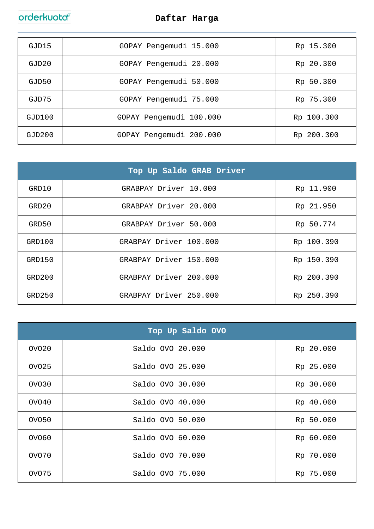| GJD15  | GOPAY Pengemudi 15.000  | Rp 15.300  |
|--------|-------------------------|------------|
| GJD20  | GOPAY Pengemudi 20.000  | Rp 20.300  |
| GJD50  | GOPAY Pengemudi 50.000  | Rp 50.300  |
| GJD75  | GOPAY Pengemudi 75.000  | Rp 75.300  |
| GJD100 | GOPAY Pengemudi 100.000 | Rp 100.300 |
| GJD200 | GOPAY Pengemudi 200.000 | Rp 200.300 |

| Top Up Saldo GRAB Driver |                        |            |
|--------------------------|------------------------|------------|
| GRD10                    | GRABPAY Driver 10.000  | Rp 11.900  |
| GRD20                    | GRABPAY Driver 20.000  | Rp 21.950  |
| GRD50                    | GRABPAY Driver 50.000  | Rp 50.774  |
| GRD100                   | GRABPAY Driver 100.000 | Rp 100.390 |
| GRD150                   | GRABPAY Driver 150.000 | Rp 150.390 |
| GRD200                   | GRABPAY Driver 200.000 | Rp 200.390 |
| GRD250                   | GRABPAY Driver 250.000 | Rp 250.390 |

| Top Up Saldo OVO  |                  |           |
|-------------------|------------------|-----------|
| OVO <sub>20</sub> | Saldo OVO 20.000 | Rp 20.000 |
| OVO25             | Saldo OVO 25.000 | Rp 25.000 |
| OVO30             | Saldo OVO 30.000 | Rp 30.000 |
| OVO40             | Saldo OVO 40.000 | Rp 40.000 |
| OVO50             | Saldo OVO 50.000 | Rp 50.000 |
| OVO60             | Saldo OVO 60.000 | Rp 60.000 |
| OVO70             | Saldo OVO 70.000 | Rp 70.000 |
| OVO75             | Saldo OVO 75.000 | Rp 75.000 |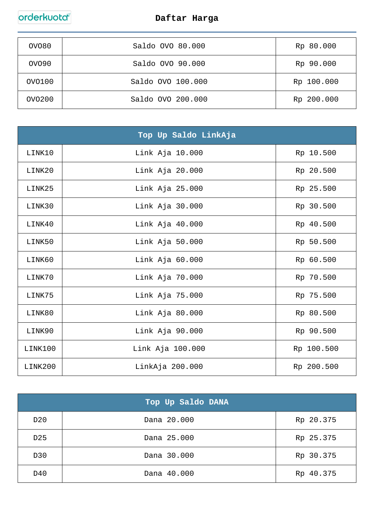| OVO80             | Saldo OVO 80.000  | Rp 80.000  |
|-------------------|-------------------|------------|
| OVO <sub>90</sub> | Saldo OVO 90.000  | Rp 90.000  |
| OVO100            | Saldo OVO 100.000 | Rp 100.000 |
| OV0200            | Saldo OVO 200.000 | Rp 200.000 |

|         | Top Up Saldo LinkAja |            |
|---------|----------------------|------------|
| LINK10  | Link Aja 10.000      | Rp 10.500  |
| LINK20  | Link Aja 20.000      | Rp 20.500  |
| LINK25  | Link Aja 25.000      | Rp 25.500  |
| LINK30  | Link Aja 30.000      | Rp 30.500  |
| LINK40  | Link Aja 40.000      | Rp 40.500  |
| LINK50  | Link Aja 50.000      | Rp 50.500  |
| LINK60  | Link Aja 60.000      | Rp 60.500  |
| LINK70  | Link Aja 70.000      | Rp 70.500  |
| LINK75  | Link Aja 75.000      | Rp 75.500  |
| LINK80  | Link Aja 80.000      | Rp 80.500  |
| LINK90  | Link Aja 90.000      | Rp 90.500  |
| LINK100 | Link Aja 100.000     | Rp 100.500 |
| LINK200 | LinkAja 200.000      | Rp 200.500 |

|                 | Top Up Saldo DANA |           |
|-----------------|-------------------|-----------|
| D <sub>20</sub> | Dana 20.000       | Rp 20.375 |
| D <sub>25</sub> | Dana 25.000       | Rp 25.375 |
| D30             | Dana 30.000       | Rp 30.375 |
| D40             | Dana 40.000       | Rp 40.375 |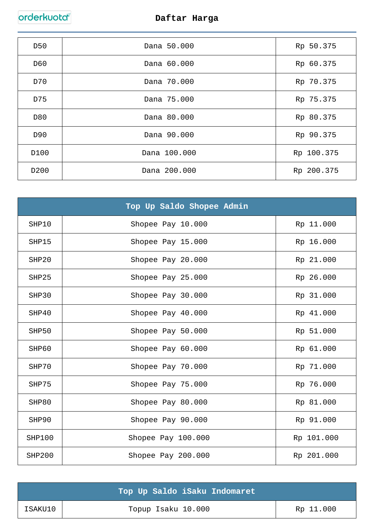| D <sub>50</sub>  | Dana 50.000  | Rp 50.375  |
|------------------|--------------|------------|
| D60              | Dana 60.000  | Rp 60.375  |
| D70              | Dana 70.000  | Rp 70.375  |
| D75              | Dana 75.000  | Rp 75.375  |
| D80              | Dana 80.000  | Rp 80.375  |
| D90              | Dana 90.000  | Rp 90.375  |
| D100             | Dana 100.000 | Rp 100.375 |
| D <sub>200</sub> | Dana 200.000 | Rp 200.375 |

|        | Top Up Saldo Shopee Admin |            |
|--------|---------------------------|------------|
| SHP10  | Shopee Pay 10.000         | Rp 11.000  |
| SHP15  | Shopee Pay 15.000         | Rp 16.000  |
| SHP20  | Shopee Pay 20.000         | Rp 21.000  |
| SHP25  | Shopee Pay 25.000         | Rp 26.000  |
| SHP30  | Shopee Pay 30.000         | Rp 31.000  |
| SHP40  | Shopee Pay 40.000         | Rp 41.000  |
| SHP50  | Shopee Pay 50.000         | Rp 51.000  |
| SHP60  | Shopee Pay 60.000         | Rp 61.000  |
| SHP70  | Shopee Pay 70.000         | Rp 71.000  |
| SHP75  | Shopee Pay 75.000         | Rp 76.000  |
| SHP80  | Shopee Pay 80.000         | Rp 81.000  |
| SHP90  | Shopee Pay 90.000         | Rp 91.000  |
| SHP100 | Shopee Pay 100.000        | Rp 101.000 |
| SHP200 | Shopee Pay 200.000        | Rp 201.000 |

|         | Top Up Saldo iSaku Indomaret |           |
|---------|------------------------------|-----------|
| ISAKU10 | Topup Isaku 10.000           | Rp 11.000 |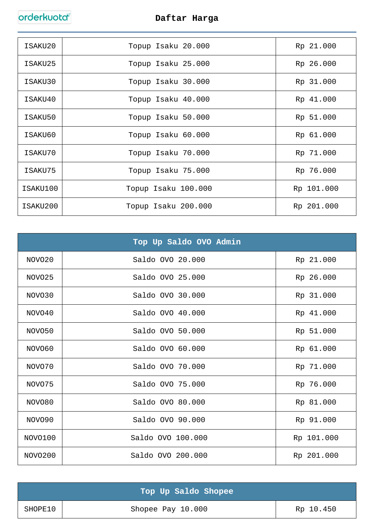| ISAKU20  | Topup Isaku 20.000  | Rp 21.000  |
|----------|---------------------|------------|
| ISAKU25  | Topup Isaku 25.000  | Rp 26.000  |
| ISAKU30  | Topup Isaku 30.000  | Rp 31.000  |
| ISAKU40  | Topup Isaku 40.000  | Rp 41.000  |
| ISAKU50  | Topup Isaku 50.000  | Rp 51.000  |
| ISAKU60  | Topup Isaku 60.000  | Rp 61.000  |
| ISAKU70  | Topup Isaku 70.000  | Rp 71.000  |
| ISAKU75  | Topup Isaku 75.000  | Rp 76.000  |
| ISAKU100 | Topup Isaku 100.000 | Rp 101.000 |
| ISAKU200 | Topup Isaku 200.000 | Rp 201.000 |

|         | Top Up Saldo OVO Admin |            |
|---------|------------------------|------------|
| NOVO20  | Saldo OVO 20.000       | Rp 21.000  |
| NOVO25  | Saldo OVO 25.000       | Rp 26.000  |
| NOVO30  | Saldo OVO 30.000       | Rp 31.000  |
| NOVO40  | Saldo OVO 40.000       | Rp 41.000  |
| NOVO50  | Saldo OVO 50.000       | Rp 51.000  |
| NOVO60  | Saldo OVO 60.000       | Rp 61.000  |
| NOVO70  | Saldo OVO 70.000       | Rp 71.000  |
| NOVO75  | Saldo OVO 75.000       | Rp 76.000  |
| NOVO80  | Saldo OVO 80.000       | Rp 81.000  |
| NOVO90  | Saldo OVO 90.000       | Rp 91.000  |
| NOVO100 | Saldo OVO 100.000      | Rp 101.000 |
| NOVO200 | Saldo OVO 200.000      | Rp 201.000 |

|         | Top Up Saldo Shopee |           |
|---------|---------------------|-----------|
| SHOPE10 | Shopee Pay 10.000   | Rp 10.450 |